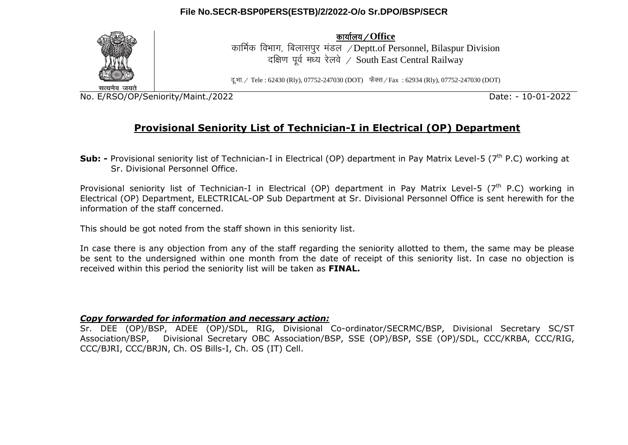## **File No.SECR-BSP0PERS(ESTB)/2/2022-O/o Sr.DPO/BSP/SECR**



dk;kZy;@**Office**

कार्मिक विभाग, बिलासपर मंडल /Deptt.of Personnel, Bilaspur Division दक्षिण पूर्व मध्य रेलवे / South East Central Railway

दु.भा. / Tele : 62430 (Rly), 07752-247030 (DOT) फैक्स / Fax : 62934 (Rly), 07752-247030 (DOT)

No. E/RSO/OP/Seniority/Maint./2022 Date: - 10-01-2022

# **Provisional Seniority List of Technician-I in Electrical (OP) Department**

**Sub:** - Provisional seniority list of Technician-I in Electrical (OP) department in Pav Matrix Level-5 (7<sup>th</sup> P.C) working at Sr. Divisional Personnel Office.

Provisional seniority list of Technician-I in Electrical (OP) department in Pay Matrix Level-5 ( $7<sup>th</sup>$  P.C) working in Electrical (OP) Department, ELECTRICAL-OP Sub Department at Sr. Divisional Personnel Office is sent herewith for the information of the staff concerned.

This should be got noted from the staff shown in this seniority list.

In case there is any objection from any of the staff regarding the seniority allotted to them, the same may be please be sent to the undersigned within one month from the date of receipt of this seniority list. In case no objection is received within this period the seniority list will be taken as **FINAL.**

### *Copy forwarded for information and necessary action:*

Sr. DEE (OP)/BSP, ADEE (OP)/SDL, RIG, Divisional Co-ordinator/SECRMC/BSP, Divisional Secretary SC/ST Association/BSP, Divisional Secretary OBC Association/BSP, SSE (OP)/BSP, SSE (OP)/SDL, CCC/KRBA, CCC/RIG, CCC/BJRI, CCC/BRJN, Ch. OS Bills-I, Ch. OS (IT) Cell.